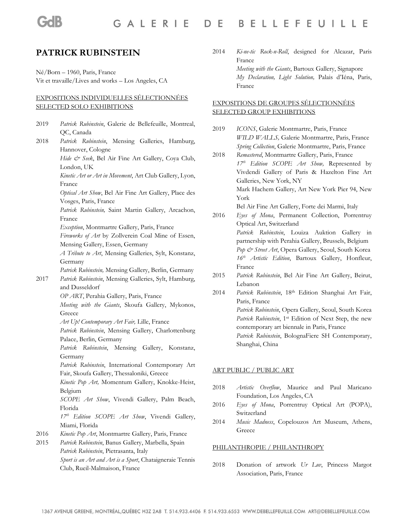# **PATRICK RUBINSTEIN**

Né/Born – 1960, Paris, France Vit et travaille/Lives and works – Los Angeles, CA

### EXPOSITIONS INDIVIDUELLES SÉLECTIONNÉES SELECTED SOLO EXHIBITIONS

- 2019 *Patrick Rubinstein*, Galerie de Bellefeuille, Montreal, QC, Canada 2018 *Patrick Rubinstein*, Mensing Galleries, Hamburg, Hannover, Cologne *Hide & Seek*, Bel Air Fine Art Gallery, Coya Club, London, UK *Kinetic Art or Art in Movement*, Art Club Gallery, Lyon, France *Optical Art Show*, Bel Air Fine Art Gallery, Place des Vosges, Paris, France *Patrick Rubinstein,* Saint Martin Gallery, Arcachon, France *Exception*, Montmartre Gallery, Paris, France *Fireworks of Art* by Zollverein Coal Mine of Essen, Mensing Gallery, Essen, Germany *A Tribute to Art*, Mensing Galleries, Sylt, Konstanz, Germany *Patrick Rubinstein,* Mensing Gallery, Berlin, Germany 2017 *Patrick Rubinstein*, Mensing Galleries, Sylt, Hamburg, and Dusseldorf *OP ART*, Perahia Gallery, Paris, France *Meeting with the Giants*, Skoufa Gallery, Mykonos, Greece *Art Up! Contemporary Art Fair,* Lille, France *Patrick Rubinstein*, Mensing Gallery, Charlottenburg Palace, Berlin, Germany *Patrick Rubinstein*, Mensing Gallery, Konstanz, Germany *Patrick Rubinstein*, International Contemporary Art Fair, Skoufa Gallery, Thessaloniki, Greece *Kinetic Pop Art,* Momentum Gallery, Knokke-Heist, Belgium *SCOPE Art Show*, Vivendi Gallery, Palm Beach, Florida *17th Edition SCOPE Art Show*, Vivendi Gallery, Miami, Florida 2016 *Kinetic Pop Art*, Montmartre Gallery, Paris, France 2015 *Patrick Rubinstein*, Banus Gallery, Marbella, Spain *Patrick Rubinstein*, Pietrasanta, Italy *Sport is an Art and Art is a Sport*, Chataigneraie Tennis Club, Rueil-Malmaison, France
- 2014 *Ki-ne-tic Rock-n-Roll*, designed for Alcazar, Paris France *Meeting with the Giants*, Bartoux Gallery, Signapore *My Declaration, Light Solution,* Palais d'Iéna, Paris, France

## EXPOSITIONS DE GROUPES SÉLECTIONNÉES SELECTED GROUP EXHIBITIONS

- 2019 *ICONS*, Galerie Montmartre, Paris, France *WILD WALLS,* Galerie Montmartre, Paris, France *Spring Collection*, Galerie Montmartre, Paris, France
- 2018 *Remastered*, Montmartre Gallery, Paris, France *17th Edition SCOPE Art Show,* Represented by Vivdendi Gallery of Paris & Hazelton Fine Art Galleries, New York, NY Mark Hachem Gallery, Art New York Pier 94, New York Bel Air Fine Art Gallery, Forte dei Marmi, Italy
- 2016 *Eyes of Mona*, Permanent Collection, Porrentruy Optical Art, Switzerland *Patrick Rubinstein*, Louiza Auktion Gallery in partnership with Perahia Gallery, Brussels, Belgium *Pop & Street Art*, Opera Gallery, Seoul, South Korea *16th Artistic Edition*, Bartoux Gallery, Honfleur, France
- 2015 *Patrick Rubinstein*, Bel Air Fine Art Gallery, Beirut, Lebanon
- 2014 *Patrick Rubinstein*, 18th Edition Shanghai Art Fair, Paris, France *Patrick Rubinstein*, Opera Gallery, Seoul, South Korea Patrick Rubinstein, 1<sup>st</sup> Edition of Next Step, the new contemporary art biennale in Paris, France *Patrick Rubinstein*, BolognaFiere SH Contemporary, Shanghai, China

#### ART PUBLIC / PUBLIC ART

- 2018 *Artistic Overflow*, Maurice and Paul Maricano Foundation, Los Angeles, CA
- 2016 *Eyes of Mona*, Porrentruy Optical Art (POPA), Switzerland
- 2014 *Music Madness*, Copelouzos Art Museum, Athens, Greece

#### PHILANTHROPIE / PHILANTHROPY

2018 Donation of artwork *Ur Luv*, Princess Margot Association, Paris, France